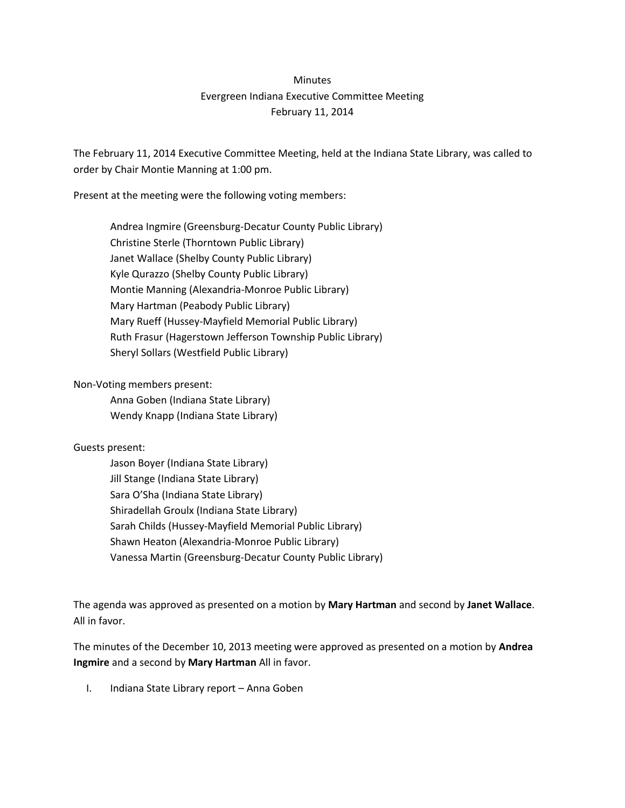## **Minutes** Evergreen Indiana Executive Committee Meeting February 11, 2014

The February 11, 2014 Executive Committee Meeting, held at the Indiana State Library, was called to order by Chair Montie Manning at 1:00 pm.

Present at the meeting were the following voting members:

Andrea Ingmire (Greensburg-Decatur County Public Library) Christine Sterle (Thorntown Public Library) Janet Wallace (Shelby County Public Library) Kyle Qurazzo (Shelby County Public Library) Montie Manning (Alexandria-Monroe Public Library) Mary Hartman (Peabody Public Library) Mary Rueff (Hussey-Mayfield Memorial Public Library) Ruth Frasur (Hagerstown Jefferson Township Public Library) Sheryl Sollars (Westfield Public Library)

Non-Voting members present:

Anna Goben (Indiana State Library) Wendy Knapp (Indiana State Library)

## Guests present:

Jason Boyer (Indiana State Library) Jill Stange (Indiana State Library) Sara O'Sha (Indiana State Library) Shiradellah Groulx (Indiana State Library) Sarah Childs (Hussey-Mayfield Memorial Public Library) Shawn Heaton (Alexandria-Monroe Public Library) Vanessa Martin (Greensburg-Decatur County Public Library)

The agenda was approved as presented on a motion by **Mary Hartman** and second by **Janet Wallace**. All in favor.

The minutes of the December 10, 2013 meeting were approved as presented on a motion by **Andrea Ingmire** and a second by **Mary Hartman** All in favor.

I. Indiana State Library report – Anna Goben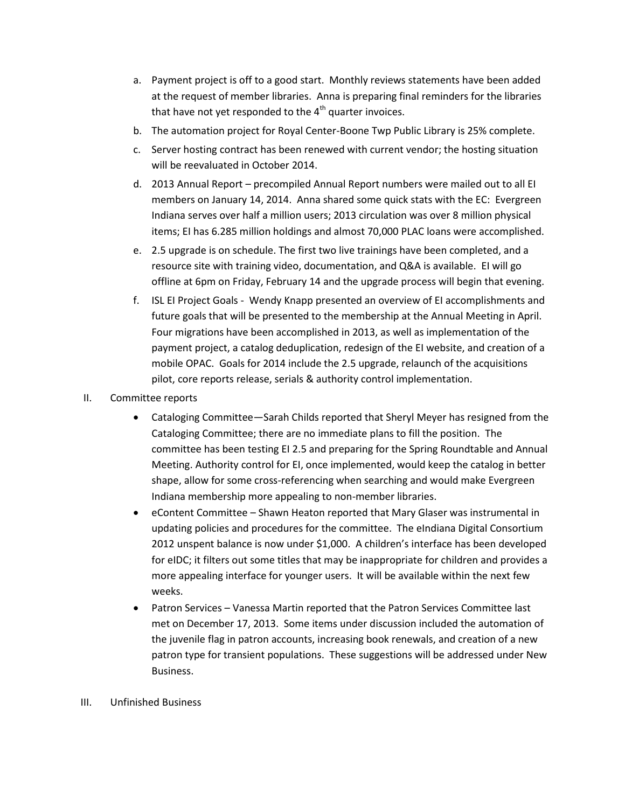- a. Payment project is off to a good start. Monthly reviews statements have been added at the request of member libraries. Anna is preparing final reminders for the libraries that have not yet responded to the  $4<sup>th</sup>$  quarter invoices.
- b. The automation project for Royal Center-Boone Twp Public Library is 25% complete.
- c. Server hosting contract has been renewed with current vendor; the hosting situation will be reevaluated in October 2014.
- d. 2013 Annual Report precompiled Annual Report numbers were mailed out to all EI members on January 14, 2014. Anna shared some quick stats with the EC: Evergreen Indiana serves over half a million users; 2013 circulation was over 8 million physical items; EI has 6.285 million holdings and almost 70,000 PLAC loans were accomplished.
- e. 2.5 upgrade is on schedule. The first two live trainings have been completed, and a resource site with training video, documentation, and Q&A is available. EI will go offline at 6pm on Friday, February 14 and the upgrade process will begin that evening.
- f. ISL EI Project Goals Wendy Knapp presented an overview of EI accomplishments and future goals that will be presented to the membership at the Annual Meeting in April. Four migrations have been accomplished in 2013, as well as implementation of the payment project, a catalog deduplication, redesign of the EI website, and creation of a mobile OPAC. Goals for 2014 include the 2.5 upgrade, relaunch of the acquisitions pilot, core reports release, serials & authority control implementation.
- II. Committee reports
	- Cataloging Committee—Sarah Childs reported that Sheryl Meyer has resigned from the Cataloging Committee; there are no immediate plans to fill the position. The committee has been testing EI 2.5 and preparing for the Spring Roundtable and Annual Meeting. Authority control for EI, once implemented, would keep the catalog in better shape, allow for some cross-referencing when searching and would make Evergreen Indiana membership more appealing to non-member libraries.
	- eContent Committee Shawn Heaton reported that Mary Glaser was instrumental in updating policies and procedures for the committee. The eIndiana Digital Consortium 2012 unspent balance is now under \$1,000. A children's interface has been developed for eIDC; it filters out some titles that may be inappropriate for children and provides a more appealing interface for younger users. It will be available within the next few weeks.
	- Patron Services Vanessa Martin reported that the Patron Services Committee last met on December 17, 2013. Some items under discussion included the automation of the juvenile flag in patron accounts, increasing book renewals, and creation of a new patron type for transient populations. These suggestions will be addressed under New Business.
- III. Unfinished Business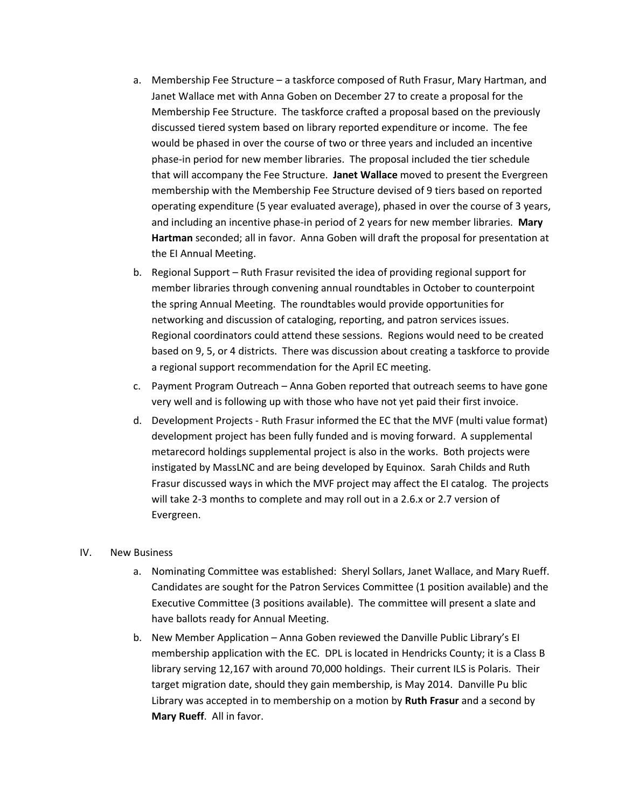- a. Membership Fee Structure a taskforce composed of Ruth Frasur, Mary Hartman, and Janet Wallace met with Anna Goben on December 27 to create a proposal for the Membership Fee Structure. The taskforce crafted a proposal based on the previously discussed tiered system based on library reported expenditure or income. The fee would be phased in over the course of two or three years and included an incentive phase-in period for new member libraries. The proposal included the tier schedule that will accompany the Fee Structure. **Janet Wallace** moved to present the Evergreen membership with the Membership Fee Structure devised of 9 tiers based on reported operating expenditure (5 year evaluated average), phased in over the course of 3 years, and including an incentive phase-in period of 2 years for new member libraries. **Mary Hartman** seconded; all in favor. Anna Goben will draft the proposal for presentation at the EI Annual Meeting.
- b. Regional Support Ruth Frasur revisited the idea of providing regional support for member libraries through convening annual roundtables in October to counterpoint the spring Annual Meeting. The roundtables would provide opportunities for networking and discussion of cataloging, reporting, and patron services issues. Regional coordinators could attend these sessions. Regions would need to be created based on 9, 5, or 4 districts. There was discussion about creating a taskforce to provide a regional support recommendation for the April EC meeting.
- c. Payment Program Outreach Anna Goben reported that outreach seems to have gone very well and is following up with those who have not yet paid their first invoice.
- d. Development Projects Ruth Frasur informed the EC that the MVF (multi value format) development project has been fully funded and is moving forward. A supplemental metarecord holdings supplemental project is also in the works. Both projects were instigated by MassLNC and are being developed by Equinox. Sarah Childs and Ruth Frasur discussed ways in which the MVF project may affect the EI catalog. The projects will take 2-3 months to complete and may roll out in a 2.6.x or 2.7 version of Evergreen.

## IV. New Business

- a. Nominating Committee was established: Sheryl Sollars, Janet Wallace, and Mary Rueff. Candidates are sought for the Patron Services Committee (1 position available) and the Executive Committee (3 positions available). The committee will present a slate and have ballots ready for Annual Meeting.
- b. New Member Application Anna Goben reviewed the Danville Public Library's EI membership application with the EC. DPL is located in Hendricks County; it is a Class B library serving 12,167 with around 70,000 holdings. Their current ILS is Polaris. Their target migration date, should they gain membership, is May 2014. Danville Pu blic Library was accepted in to membership on a motion by **Ruth Frasur** and a second by **Mary Rueff**. All in favor.